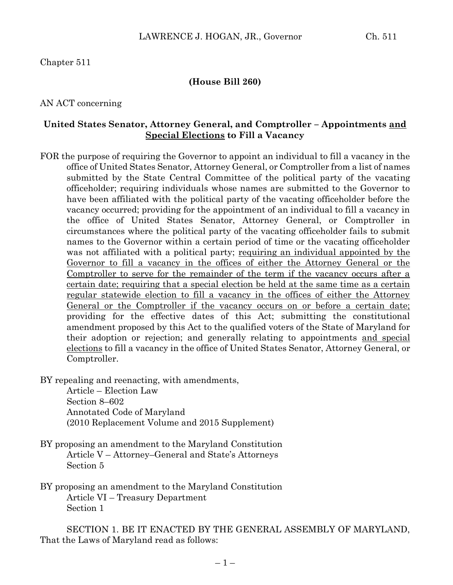#### Chapter 511

#### **(House Bill 260)**

#### AN ACT concerning

#### **United States Senator, Attorney General, and Comptroller – Appointments and Special Elections to Fill a Vacancy**

- FOR the purpose of requiring the Governor to appoint an individual to fill a vacancy in the office of United States Senator, Attorney General, or Comptroller from a list of names submitted by the State Central Committee of the political party of the vacating officeholder; requiring individuals whose names are submitted to the Governor to have been affiliated with the political party of the vacating officeholder before the vacancy occurred; providing for the appointment of an individual to fill a vacancy in the office of United States Senator, Attorney General, or Comptroller in circumstances where the political party of the vacating officeholder fails to submit names to the Governor within a certain period of time or the vacating officeholder was not affiliated with a political party; requiring an individual appointed by the Governor to fill a vacancy in the offices of either the Attorney General or the Comptroller to serve for the remainder of the term if the vacancy occurs after a certain date; requiring that a special election be held at the same time as a certain regular statewide election to fill a vacancy in the offices of either the Attorney General or the Comptroller if the vacancy occurs on or before a certain date; providing for the effective dates of this Act; submitting the constitutional amendment proposed by this Act to the qualified voters of the State of Maryland for their adoption or rejection; and generally relating to appointments and special elections to fill a vacancy in the office of United States Senator, Attorney General, or Comptroller.
- BY repealing and reenacting, with amendments,

Article – Election Law Section 8–602 Annotated Code of Maryland (2010 Replacement Volume and 2015 Supplement)

- BY proposing an amendment to the Maryland Constitution Article V – Attorney–General and State's Attorneys Section 5
- BY proposing an amendment to the Maryland Constitution Article VI – Treasury Department Section 1

SECTION 1. BE IT ENACTED BY THE GENERAL ASSEMBLY OF MARYLAND, That the Laws of Maryland read as follows: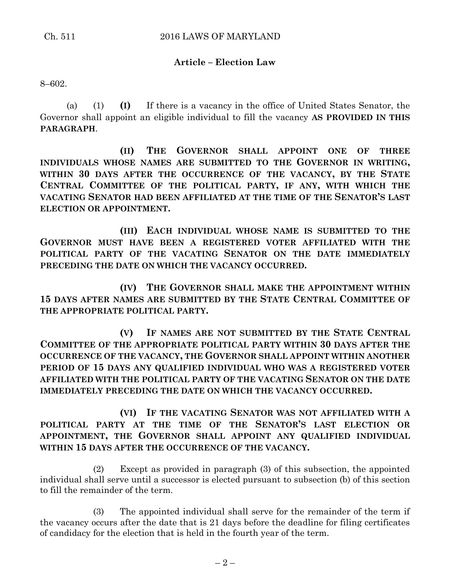### **Article – Election Law**

8–602.

(a) (1) **(I)** If there is a vacancy in the office of United States Senator, the Governor shall appoint an eligible individual to fill the vacancy **AS PROVIDED IN THIS PARAGRAPH**.

**(II) THE GOVERNOR SHALL APPOINT ONE OF THREE INDIVIDUALS WHOSE NAMES ARE SUBMITTED TO THE GOVERNOR IN WRITING, WITHIN 30 DAYS AFTER THE OCCURRENCE OF THE VACANCY, BY THE STATE CENTRAL COMMITTEE OF THE POLITICAL PARTY, IF ANY, WITH WHICH THE VACATING SENATOR HAD BEEN AFFILIATED AT THE TIME OF THE SENATOR'S LAST ELECTION OR APPOINTMENT.**

**(III) EACH INDIVIDUAL WHOSE NAME IS SUBMITTED TO THE GOVERNOR MUST HAVE BEEN A REGISTERED VOTER AFFILIATED WITH THE POLITICAL PARTY OF THE VACATING SENATOR ON THE DATE IMMEDIATELY PRECEDING THE DATE ON WHICH THE VACANCY OCCURRED.**

**(IV) THE GOVERNOR SHALL MAKE THE APPOINTMENT WITHIN 15 DAYS AFTER NAMES ARE SUBMITTED BY THE STATE CENTRAL COMMITTEE OF THE APPROPRIATE POLITICAL PARTY.**

**(V) IF NAMES ARE NOT SUBMITTED BY THE STATE CENTRAL COMMITTEE OF THE APPROPRIATE POLITICAL PARTY WITHIN 30 DAYS AFTER THE OCCURRENCE OF THE VACANCY, THE GOVERNOR SHALL APPOINT WITHIN ANOTHER PERIOD OF 15 DAYS ANY QUALIFIED INDIVIDUAL WHO WAS A REGISTERED VOTER AFFILIATED WITH THE POLITICAL PARTY OF THE VACATING SENATOR ON THE DATE IMMEDIATELY PRECEDING THE DATE ON WHICH THE VACANCY OCCURRED.**

**(VI) IF THE VACATING SENATOR WAS NOT AFFILIATED WITH A POLITICAL PARTY AT THE TIME OF THE SENATOR'S LAST ELECTION OR APPOINTMENT, THE GOVERNOR SHALL APPOINT ANY QUALIFIED INDIVIDUAL WITHIN 15 DAYS AFTER THE OCCURRENCE OF THE VACANCY.**

(2) Except as provided in paragraph (3) of this subsection, the appointed individual shall serve until a successor is elected pursuant to subsection (b) of this section to fill the remainder of the term.

(3) The appointed individual shall serve for the remainder of the term if the vacancy occurs after the date that is 21 days before the deadline for filing certificates of candidacy for the election that is held in the fourth year of the term.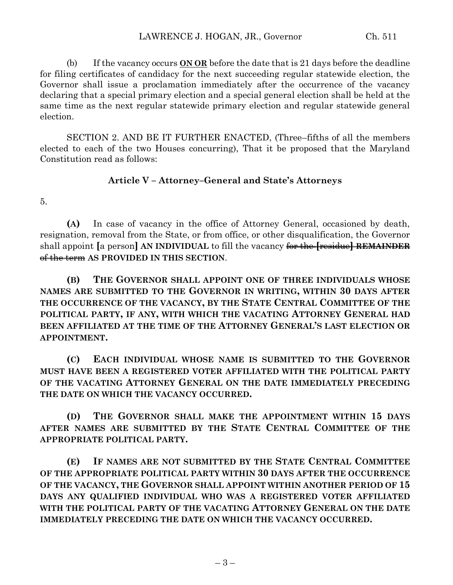(b) If the vacancy occurs **ON OR** before the date that is 21 days before the deadline for filing certificates of candidacy for the next succeeding regular statewide election, the Governor shall issue a proclamation immediately after the occurrence of the vacancy declaring that a special primary election and a special general election shall be held at the same time as the next regular statewide primary election and regular statewide general election.

SECTION 2. AND BE IT FURTHER ENACTED, (Three–fifths of all the members elected to each of the two Houses concurring), That it be proposed that the Maryland Constitution read as follows:

### **Article V – Attorney–General and State's Attorneys**

5.

**(A)** In case of vacancy in the office of Attorney General, occasioned by death, resignation, removal from the State, or from office, or other disqualification, the Governor shall appoint **[**a person**] AN INDIVIDUAL** to fill the vacancy for the **[**residue**] REMAINDER** of the term **AS PROVIDED IN THIS SECTION**.

**(B) THE GOVERNOR SHALL APPOINT ONE OF THREE INDIVIDUALS WHOSE NAMES ARE SUBMITTED TO THE GOVERNOR IN WRITING, WITHIN 30 DAYS AFTER THE OCCURRENCE OF THE VACANCY, BY THE STATE CENTRAL COMMITTEE OF THE POLITICAL PARTY, IF ANY, WITH WHICH THE VACATING ATTORNEY GENERAL HAD BEEN AFFILIATED AT THE TIME OF THE ATTORNEY GENERAL'S LAST ELECTION OR APPOINTMENT.**

**(C) EACH INDIVIDUAL WHOSE NAME IS SUBMITTED TO THE GOVERNOR MUST HAVE BEEN A REGISTERED VOTER AFFILIATED WITH THE POLITICAL PARTY OF THE VACATING ATTORNEY GENERAL ON THE DATE IMMEDIATELY PRECEDING THE DATE ON WHICH THE VACANCY OCCURRED.**

**(D) THE GOVERNOR SHALL MAKE THE APPOINTMENT WITHIN 15 DAYS AFTER NAMES ARE SUBMITTED BY THE STATE CENTRAL COMMITTEE OF THE APPROPRIATE POLITICAL PARTY.**

**(E) IF NAMES ARE NOT SUBMITTED BY THE STATE CENTRAL COMMITTEE OF THE APPROPRIATE POLITICAL PARTY WITHIN 30 DAYS AFTER THE OCCURRENCE OF THE VACANCY, THE GOVERNOR SHALL APPOINT WITHIN ANOTHER PERIOD OF 15 DAYS ANY QUALIFIED INDIVIDUAL WHO WAS A REGISTERED VOTER AFFILIATED WITH THE POLITICAL PARTY OF THE VACATING ATTORNEY GENERAL ON THE DATE IMMEDIATELY PRECEDING THE DATE ON WHICH THE VACANCY OCCURRED.**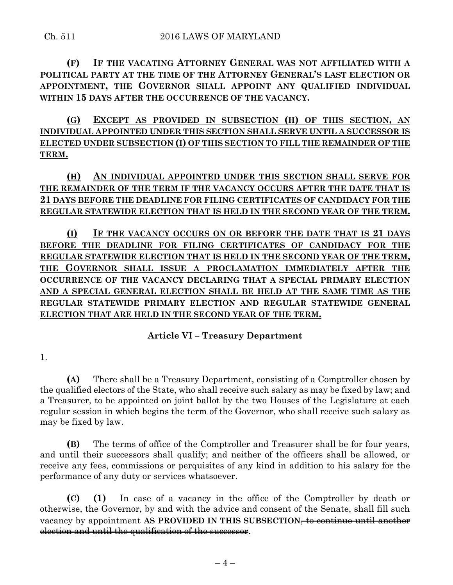**(F) IF THE VACATING ATTORNEY GENERAL WAS NOT AFFILIATED WITH A POLITICAL PARTY AT THE TIME OF THE ATTORNEY GENERAL'S LAST ELECTION OR APPOINTMENT, THE GOVERNOR SHALL APPOINT ANY QUALIFIED INDIVIDUAL WITHIN 15 DAYS AFTER THE OCCURRENCE OF THE VACANCY.**

**(G) EXCEPT AS PROVIDED IN SUBSECTION (H) OF THIS SECTION, AN INDIVIDUAL APPOINTED UNDER THIS SECTION SHALL SERVE UNTIL A SUCCESSOR IS ELECTED UNDER SUBSECTION (I) OF THIS SECTION TO FILL THE REMAINDER OF THE TERM.**

# **(H) AN INDIVIDUAL APPOINTED UNDER THIS SECTION SHALL SERVE FOR THE REMAINDER OF THE TERM IF THE VACANCY OCCURS AFTER THE DATE THAT IS 21 DAYS BEFORE THE DEADLINE FOR FILING CERTIFICATES OF CANDIDACY FOR THE REGULAR STATEWIDE ELECTION THAT IS HELD IN THE SECOND YEAR OF THE TERM.**

**(I) IF THE VACANCY OCCURS ON OR BEFORE THE DATE THAT IS 21 DAYS BEFORE THE DEADLINE FOR FILING CERTIFICATES OF CANDIDACY FOR THE REGULAR STATEWIDE ELECTION THAT IS HELD IN THE SECOND YEAR OF THE TERM, THE GOVERNOR SHALL ISSUE A PROCLAMATION IMMEDIATELY AFTER THE OCCURRENCE OF THE VACANCY DECLARING THAT A SPECIAL PRIMARY ELECTION AND A SPECIAL GENERAL ELECTION SHALL BE HELD AT THE SAME TIME AS THE REGULAR STATEWIDE PRIMARY ELECTION AND REGULAR STATEWIDE GENERAL ELECTION THAT ARE HELD IN THE SECOND YEAR OF THE TERM.**

## **Article VI – Treasury Department**

1.

**(A)** There shall be a Treasury Department, consisting of a Comptroller chosen by the qualified electors of the State, who shall receive such salary as may be fixed by law; and a Treasurer, to be appointed on joint ballot by the two Houses of the Legislature at each regular session in which begins the term of the Governor, who shall receive such salary as may be fixed by law.

**(B)** The terms of office of the Comptroller and Treasurer shall be for four years, and until their successors shall qualify; and neither of the officers shall be allowed, or receive any fees, commissions or perquisites of any kind in addition to his salary for the performance of any duty or services whatsoever.

**(C) (1)** In case of a vacancy in the office of the Comptroller by death or otherwise, the Governor, by and with the advice and consent of the Senate, shall fill such vacancy by appointment AS PROVIDED IN THIS SUBSECTION<del>, to continue until another</del> election and until the qualification of the successor.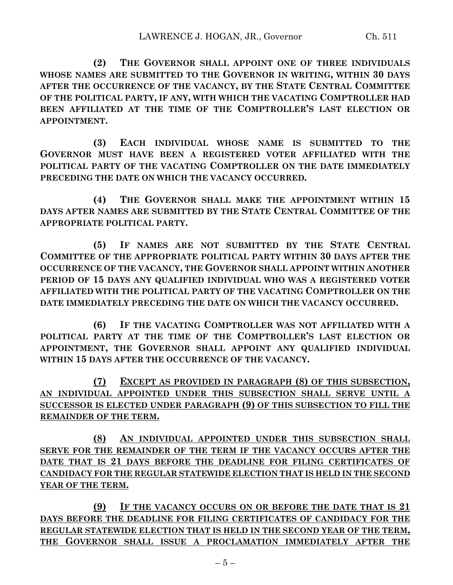**(2) THE GOVERNOR SHALL APPOINT ONE OF THREE INDIVIDUALS WHOSE NAMES ARE SUBMITTED TO THE GOVERNOR IN WRITING, WITHIN 30 DAYS AFTER THE OCCURRENCE OF THE VACANCY, BY THE STATE CENTRAL COMMITTEE OF THE POLITICAL PARTY, IF ANY, WITH WHICH THE VACATING COMPTROLLER HAD BEEN AFFILIATED AT THE TIME OF THE COMPTROLLER'S LAST ELECTION OR APPOINTMENT.**

**(3) EACH INDIVIDUAL WHOSE NAME IS SUBMITTED TO THE GOVERNOR MUST HAVE BEEN A REGISTERED VOTER AFFILIATED WITH THE POLITICAL PARTY OF THE VACATING COMPTROLLER ON THE DATE IMMEDIATELY PRECEDING THE DATE ON WHICH THE VACANCY OCCURRED.**

**(4) THE GOVERNOR SHALL MAKE THE APPOINTMENT WITHIN 15 DAYS AFTER NAMES ARE SUBMITTED BY THE STATE CENTRAL COMMITTEE OF THE APPROPRIATE POLITICAL PARTY.**

**(5) IF NAMES ARE NOT SUBMITTED BY THE STATE CENTRAL COMMITTEE OF THE APPROPRIATE POLITICAL PARTY WITHIN 30 DAYS AFTER THE OCCURRENCE OF THE VACANCY, THE GOVERNOR SHALL APPOINT WITHIN ANOTHER PERIOD OF 15 DAYS ANY QUALIFIED INDIVIDUAL WHO WAS A REGISTERED VOTER AFFILIATED WITH THE POLITICAL PARTY OF THE VACATING COMPTROLLER ON THE DATE IMMEDIATELY PRECEDING THE DATE ON WHICH THE VACANCY OCCURRED.**

**(6) IF THE VACATING COMPTROLLER WAS NOT AFFILIATED WITH A POLITICAL PARTY AT THE TIME OF THE COMPTROLLER'S LAST ELECTION OR APPOINTMENT, THE GOVERNOR SHALL APPOINT ANY QUALIFIED INDIVIDUAL WITHIN 15 DAYS AFTER THE OCCURRENCE OF THE VACANCY.**

**(7) EXCEPT AS PROVIDED IN PARAGRAPH (8) OF THIS SUBSECTION, AN INDIVIDUAL APPOINTED UNDER THIS SUBSECTION SHALL SERVE UNTIL A SUCCESSOR IS ELECTED UNDER PARAGRAPH (9) OF THIS SUBSECTION TO FILL THE REMAINDER OF THE TERM.**

**(8) AN INDIVIDUAL APPOINTED UNDER THIS SUBSECTION SHALL SERVE FOR THE REMAINDER OF THE TERM IF THE VACANCY OCCURS AFTER THE DATE THAT IS 21 DAYS BEFORE THE DEADLINE FOR FILING CERTIFICATES OF CANDIDACY FOR THE REGULAR STATEWIDE ELECTION THAT IS HELD IN THE SECOND YEAR OF THE TERM.**

**(9) IF THE VACANCY OCCURS ON OR BEFORE THE DATE THAT IS 21 DAYS BEFORE THE DEADLINE FOR FILING CERTIFICATES OF CANDIDACY FOR THE REGULAR STATEWIDE ELECTION THAT IS HELD IN THE SECOND YEAR OF THE TERM, THE GOVERNOR SHALL ISSUE A PROCLAMATION IMMEDIATELY AFTER THE**